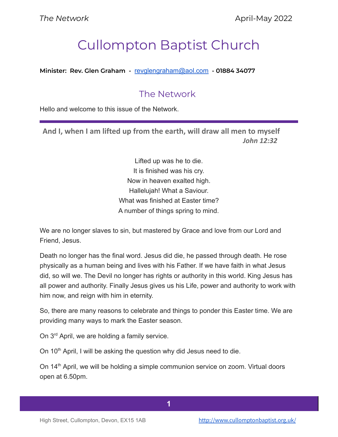# Cullompton Baptist Church

**Minister: Rev. Glen Graham -** [revglengraham@aol.com](mailto:revglengraham@aol.com) **- 01884 34077**

# The Network

Hello and welcome to this issue of the Network.

**And I, when I am lifted up from the earth, will draw all men to myself** *John 12:32*

> Lifted up was he to die. It is finished was his cry. Now in heaven exalted high. Hallelujah! What a Saviour. What was finished at Easter time? A number of things spring to mind.

We are no longer slaves to sin, but mastered by Grace and love from our Lord and Friend, Jesus.

Death no longer has the final word. Jesus did die, he passed through death. He rose physically as a human being and lives with his Father. If we have faith in what Jesus did, so will we. The Devil no longer has rights or authority in this world. King Jesus has all power and authority. Finally Jesus gives us his Life, power and authority to work with him now, and reign with him in eternity.

So, there are many reasons to celebrate and things to ponder this Easter time. We are providing many ways to mark the Easter season.

On 3<sup>rd</sup> April, we are holding a family service.

On 10<sup>th</sup> April, I will be asking the question why did Jesus need to die.

On 14<sup>th</sup> April, we will be holding a simple communion service on zoom. Virtual doors open at 6.50pm.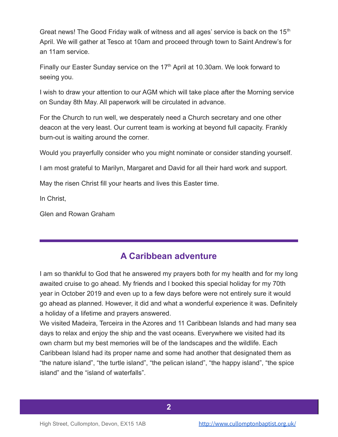Great news! The Good Friday walk of witness and all ages' service is back on the  $15<sup>th</sup>$ April. We will gather at Tesco at 10am and proceed through town to Saint Andrew's for an 11am service.

Finally our Easter Sunday service on the  $17<sup>th</sup>$  April at 10.30am. We look forward to seeing you.

I wish to draw your attention to our AGM which will take place after the Morning service on Sunday 8th May. All paperwork will be circulated in advance.

For the Church to run well, we desperately need a Church secretary and one other deacon at the very least. Our current team is working at beyond full capacity. Frankly burn-out is waiting around the corner.

Would you prayerfully consider who you might nominate or consider standing yourself.

I am most grateful to Marilyn, Margaret and David for all their hard work and support.

May the risen Christ fill your hearts and lives this Easter time.

In Christ,

Glen and Rowan Graham

## **A Caribbean adventure**

I am so thankful to God that he answered my prayers both for my health and for my long awaited cruise to go ahead. My friends and I booked this special holiday for my 70th year in October 2019 and even up to a few days before were not entirely sure it would go ahead as planned. However, it did and what a wonderful experience it was. Definitely a holiday of a lifetime and prayers answered.

We visited Madeira, Terceira in the Azores and 11 Caribbean Islands and had many sea days to relax and enjoy the ship and the vast oceans. Everywhere we visited had its own charm but my best memories will be of the landscapes and the wildlife. Each Caribbean Island had its proper name and some had another that designated them as "the nature island", "the turtle island", "the pelican island", "the happy island", "the spice island" and the "island of waterfalls".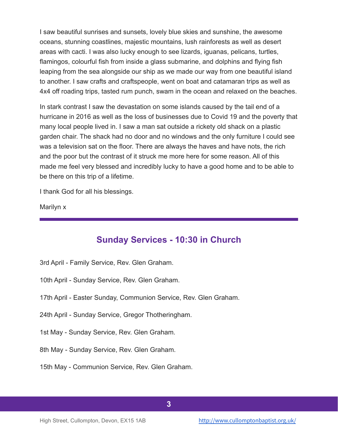I saw beautiful sunrises and sunsets, lovely blue skies and sunshine, the awesome oceans, stunning coastlines, majestic mountains, lush rainforests as well as desert areas with cacti. I was also lucky enough to see lizards, iguanas, pelicans, turtles, flamingos, colourful fish from inside a glass submarine, and dolphins and flying fish leaping from the sea alongside our ship as we made our way from one beautiful island to another. I saw crafts and craftspeople, went on boat and catamaran trips as well as 4x4 off roading trips, tasted rum punch, swam in the ocean and relaxed on the beaches.

In stark contrast I saw the devastation on some islands caused by the tail end of a hurricane in 2016 as well as the loss of businesses due to Covid 19 and the poverty that many local people lived in. I saw a man sat outside a rickety old shack on a plastic garden chair. The shack had no door and no windows and the only furniture I could see was a television sat on the floor. There are always the haves and have nots, the rich and the poor but the contrast of it struck me more here for some reason. All of this made me feel very blessed and incredibly lucky to have a good home and to be able to be there on this trip of a lifetime.

I thank God for all his blessings.

Marilyn x

#### **Sunday Services - 10:30 in Church**

- 3rd April Family Service, Rev. Glen Graham.
- 10th April Sunday Service, Rev. Glen Graham.
- 17th April Easter Sunday, Communion Service, Rev. Glen Graham.
- 24th April Sunday Service, Gregor Thotheringham.
- 1st May Sunday Service, Rev. Glen Graham.
- 8th May Sunday Service, Rev. Glen Graham.
- 15th May Communion Service, Rev. Glen Graham.